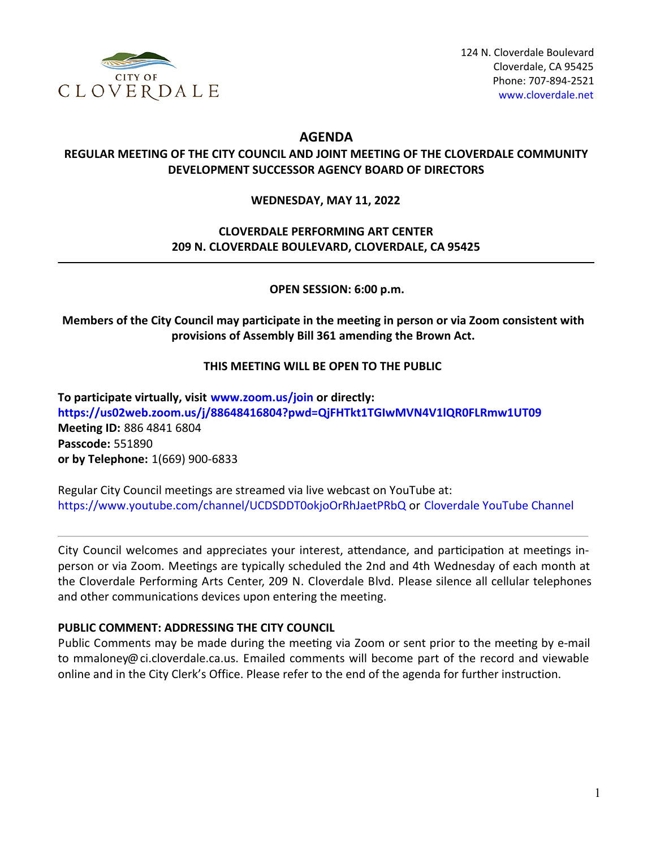

# **AGENDA**

## **REGULAR MEETING OF THE CITY COUNCIL AND JOINT MEETING OF THE CLOVERDALE COMMUNITY DEVELOPMENT SUCCESSOR AGENCY BOARD OF DIRECTORS**

#### **WEDNESDAY, MAY 11, 2022**

# **CLOVERDALE PERFORMING ART CENTER 209 N. CLOVERDALE BOULEVARD, CLOVERDALE, CA 95425**

**OPEN SESSION: 6:00 p.m.**

**Members of the City Council may participate in the meeting in person or via Zoom consistent with provisions of Assembly Bill 361 amending the Brown Act.**

### **THIS MEETING WILL BE OPEN TO THE PUBLIC**

**To participate virtually, visit [www.zoom.us/join](https://www.zoom.us/join) or directly: <https://us02web.zoom.us/j/88648416804?pwd=QjFHTkt1TGIwMVN4V1lQR0FLRmw1UT09> Meeting ID:** 886 4841 6804 **Passcode:** 551890 **or by Telephone:** 1(669) 900-6833

Regular City Council meetings are streamed via live webcast on YouTube at: <https://www.youtube.com/channel/UCDSDDT0okjoOrRhJaetPRbQ> or [Cloverdale](https://www.youtube.com/channel/UCDSDDT0okjoOrRhJaetPRbQ) YouTube Channel

City Council welcomes and appreciates your interest, attendance, and participation at meetings inperson or via Zoom. Meetings are typically scheduled the 2nd and 4th Wednesday of each month at the Cloverdale Performing Arts Center, 209 N. Cloverdale Blvd. Please silence all cellular telephones and other communications devices upon entering the meeting.

### **PUBLIC COMMENT: ADDRESSING THE CITY COUNCIL**

Public Comments may be made during the meeting via Zoom or sent prior to the meeting by e-mail to mmaloney@ci.cloverdale.ca.us. Emailed comments will become part of the record and viewable online and in the City Clerk's Office. Please refer to the end of the agenda for further instruction.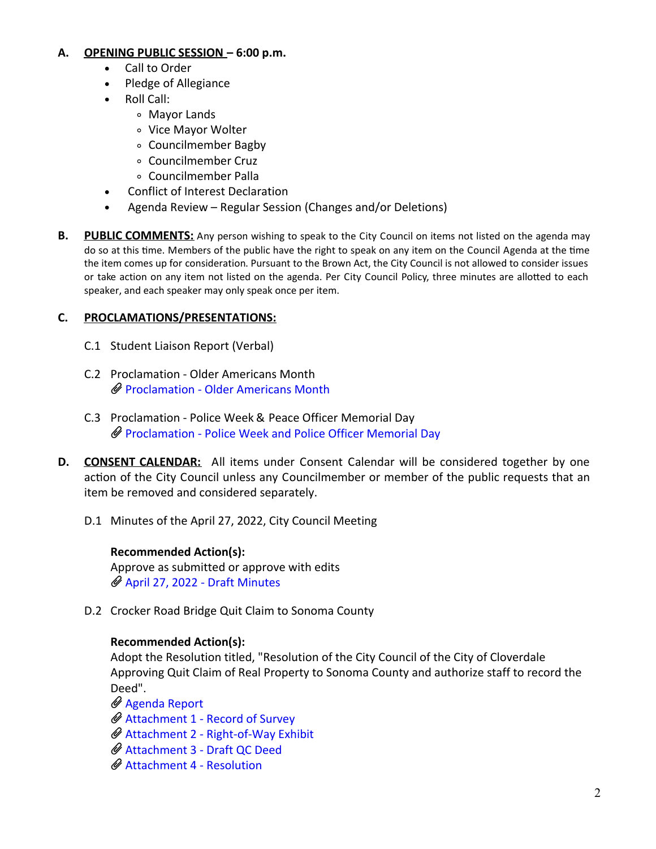#### **A. OPENING PUBLIC SESSION – 6:00 p.m.**

- Call to Order
- Pledge of Allegiance
- Roll Call:
	- Mayor Lands
	- Vice Mayor Wolter
	- Councilmember Bagby
	- Councilmember Cruz
	- Councilmember Palla
- Conflict of Interest Declaration
- Agenda Review Regular Session (Changes and/or Deletions)  $\bullet$
- **B. PUBLIC COMMENTS:** Any person wishing to speak to the City Council on items not listed on the agenda may do so at this time. Members of the public have the right to speak on any item on the Council Agenda at the time the item comes up for consideration. Pursuant to the Brown Act, the City Council is not allowed to consider issues or take action on any item not listed on the agenda. Per City Council Policy, three minutes are allotted to each speaker, and each speaker may only speak once per item.

### **C. PROCLAMATIONS/PRESENTATIONS:**

- C.1 Student Liaison Report (Verbal)
- C.2 Proclamation Older Americans Month [Proclamation](https://legistarweb-production.s3.amazonaws.com/uploads/attachment/pdf/1364960/Proclamation_-_Recognizing_May_2022_as_Older_Americans_Month.pdf) - Older Americans Month
- C.3 Proclamation Police Week & Peace Officer Memorial Day [Proclamation](https://legistarweb-production.s3.amazonaws.com/uploads/attachment/pdf/1360828/Proclamation_Proclaiming_Police_Week_and_Police_Officer_Memorial_Day.pdf) - Police Week and Police Officer Memorial Day
- **D. CONSENT CALENDAR:** All items under Consent Calendar will be considered together by one action of the City Council unless any Councilmember or member of the public requests that an item be removed and considered separately.
	- D.1 Minutes of the April 27, 2022, City Council Meeting

### **Recommended Action(s):**

Approve as submitted or approve with edits April 27, 2022 - Draft [Minutes](https://legistarweb-production.s3.amazonaws.com/uploads/attachment/pdf/1365032/April_27__2022_-_Draft_Minutes.pdf)

D.2 Crocker Road Bridge Quit Claim to Sonoma County

### **Recommended Action(s):**

Adopt the Resolution titled, "Resolution of the City Council of the City of Cloverdale Approving Quit Claim of Real Property to Sonoma County and authorize staff to record the Deed".

[Agenda](https://legistarweb-production.s3.amazonaws.com/uploads/attachment/pdf/1365042/CC_Agenda_Staff_Report_-Crocker_Bridge_Quit_Claim.pdf) Report

[Attachment](https://legistarweb-production.s3.amazonaws.com/uploads/attachment/pdf/1365051/Attachment_1_Record_of_Survey.pdf) 1 - Record of Survey

Attachment 2 - [Right-of-Way](https://legistarweb-production.s3.amazonaws.com/uploads/attachment/pdf/1365052/Attachment_2_Right-of-Way_Exhibit.pdf) Exhibit

- [Attachment](https://legistarweb-production.s3.amazonaws.com/uploads/attachment/pdf/1365053/Attachment_3_Draft_QC_Deed.pdf) 3 Draft QC Deed
- [Attachment](https://legistarweb-production.s3.amazonaws.com/uploads/attachment/pdf/1365055/Attachment_4_Resolution.pdf) 4 Resolution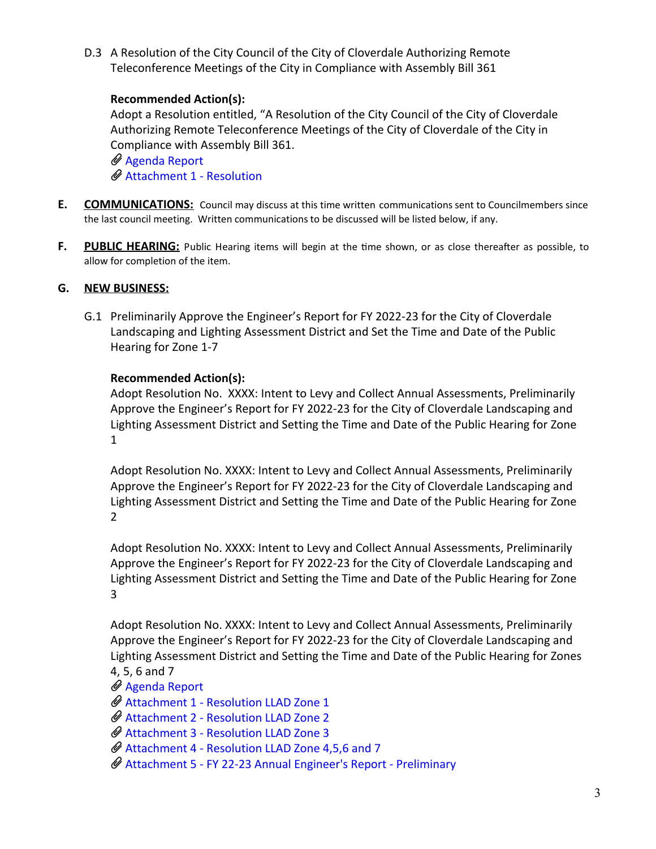D.3 A Resolution of the City Council of the City of Cloverdale Authorizing Remote Teleconference Meetings of the City in Compliance with Assembly Bill 361

### **Recommended Action(s):**

Adopt a Resolution entitled, "A Resolution of the City Council of the City of Cloverdale Authorizing Remote Teleconference Meetings of the City of Cloverdale of the City in Compliance with Assembly Bill 361.

 $\mathscr Q$  [Agenda](https://legistarweb-production.s3.amazonaws.com/uploads/attachment/pdf/1368016/Agenda_Report.pdf) Report [Attachment](https://legistarweb-production.s3.amazonaws.com/uploads/attachment/pdf/1368017/Attachment_1_-_Resolution.pdf) 1 - Resolution

- **E. COMMUNICATIONS:** Council may discuss at this time written communications sent to Councilmembers since the last council meeting. Written communications to be discussed will be listed below, if any.
- **F. PUBLIC HEARING:** Public Hearing items will begin at the time shown, or as close thereafter as possible, to allow for completion of the item.

### **G. NEW BUSINESS:**

G.1 Preliminarily Approve the Engineer's Report for FY 2022-23 for the City of Cloverdale Landscaping and Lighting Assessment District and Set the Time and Date of the Public Hearing for Zone 1-7

### **Recommended Action(s):**

Adopt Resolution No. XXXX: Intent to Levy and Collect Annual Assessments, Preliminarily Approve the Engineer's Report for FY 2022-23 for the City of Cloverdale Landscaping and Lighting Assessment District and Setting the Time and Date of the Public Hearing for Zone 1

Adopt Resolution No. XXXX: Intent to Levy and Collect Annual Assessments, Preliminarily Approve the Engineer's Report for FY 2022-23 for the City of Cloverdale Landscaping and Lighting Assessment District and Setting the Time and Date of the Public Hearing for Zone 2

Adopt Resolution No. XXXX: Intent to Levy and Collect Annual Assessments, Preliminarily Approve the Engineer's Report for FY 2022-23 for the City of Cloverdale Landscaping and Lighting Assessment District and Setting the Time and Date of the Public Hearing for Zone 3

Adopt Resolution No. XXXX: Intent to Levy and Collect Annual Assessments, Preliminarily Approve the Engineer's Report for FY 2022-23 for the City of Cloverdale Landscaping and Lighting Assessment District and Setting the Time and Date of the Public Hearing for Zones 4, 5, 6 and 7

- [Agenda](https://legistarweb-production.s3.amazonaws.com/uploads/attachment/pdf/1365392/Agenda_Report.pdf) Report
- [Attachment](https://legistarweb-production.s3.amazonaws.com/uploads/attachment/pdf/1365480/Attachment_1_-_Resolution_LLAD_Zone_1.pdf) 1 Resolution LLAD Zone 1
- [Attachment](https://legistarweb-production.s3.amazonaws.com/uploads/attachment/pdf/1365481/Attachment_2_-_Resolution_LLAD_Zone_2.pdf) 2 Resolution LLAD Zone 2
- [Attachment](https://legistarweb-production.s3.amazonaws.com/uploads/attachment/pdf/1365482/Attachment_3_-_Resolution_LLAD_Zone_3.pdf) 3 Resolution LLAD Zone 3
- [Attachment](https://legistarweb-production.s3.amazonaws.com/uploads/attachment/pdf/1365491/Attachment_4_-_Resolution_LLAD_Zone_4_5_6_and_7.pdf) 4 Resolution LLAD Zone 4,5,6 and 7
- [Attachment](https://legistarweb-production.s3.amazonaws.com/uploads/attachment/pdf/1365506/Attachment_5_-_FY_22-23_Annual_Engineer_s_Report___Preliminary__without_assesment_roll_.pdf) 5 FY 22-23 Annual Engineer's Report Preliminary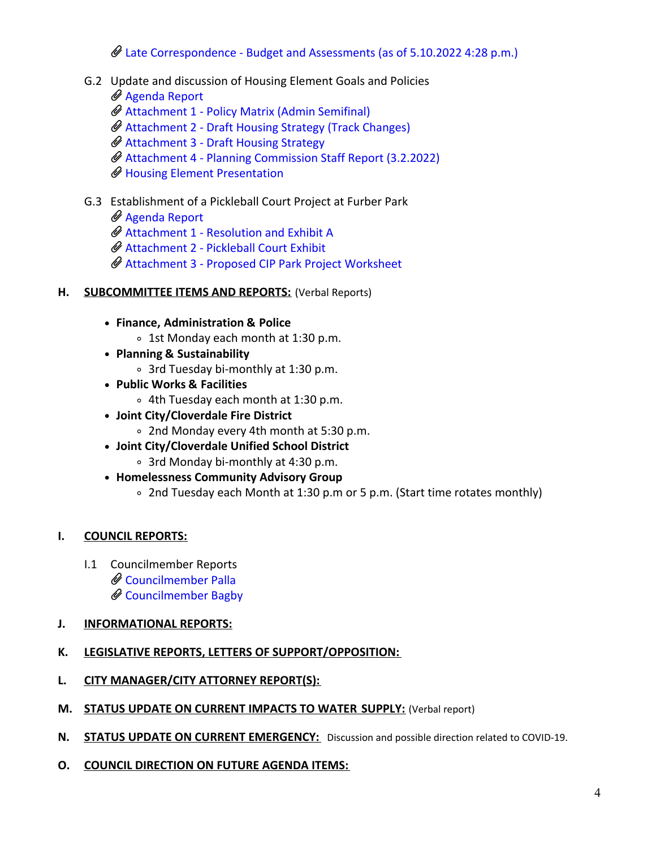# Late [Correspondence](https://legistarweb-production.s3.amazonaws.com/uploads/attachment/pdf/1373745/G.1_Late_Correspondence_-_Budget_and_Assessments.pdf) - Budget and Assessments (as of 5.10.2022 4:28 p.m.)

- G.2 Update and discussion of Housing Element Goals and Policies
	- [Agenda](https://legistarweb-production.s3.amazonaws.com/uploads/attachment/pdf/1365515/Agenda_Review.pdf) Report
	- [Attachment](https://legistarweb-production.s3.amazonaws.com/uploads/attachment/pdf/1365516/Attachment_1_-_Policy_Matrix_-_Admin_Semifinal.pdf) 1 Policy Matrix (Admin Semifinal)
	- [Attachment](https://legistarweb-production.s3.amazonaws.com/uploads/attachment/pdf/1365517/Attachment_2_-_Draft_Housing_Strategy_-__Track_Changes_.pdf) 2 Draft Housing Strategy (Track Changes)
	- $\mathscr Q$  [Attachment](https://legistarweb-production.s3.amazonaws.com/uploads/attachment/pdf/1365518/Attachment_3_-_Draft_Housing_Strategy.pdf) 3 Draft Housing Strategy
	- Attachment 4 Planning [Commission](https://legistarweb-production.s3.amazonaws.com/uploads/attachment/pdf/1365519/Attachment_4_-_Planning_Commission_staff_report_3.2.2022.pdf) Staff Report (3.2.2022)
	- Housing Element [Presentation](https://legistarweb-production.s3.amazonaws.com/uploads/attachment/pdf/1373674/Cloverdale_Slides_-_Housing_Element_Workshop_05-11-22.pdf)
- G.3 Establishment of a Pickleball Court Project at Furber Park
	- [Agenda](https://legistarweb-production.s3.amazonaws.com/uploads/attachment/pdf/1365574/Staff_Report.pdf) Report
	- [Attachment](https://legistarweb-production.s3.amazonaws.com/uploads/attachment/pdf/1365575/Attachment_1_-_Resolution_and_Exhibit_A.pdf) 1 Resolution and Exhibit A
	- [Attachment](https://legistarweb-production.s3.amazonaws.com/uploads/attachment/pdf/1365576/Attachment_2_-__Pickleball_Court_Exhibit.pdf) 2 Pickleball Court Exhibit
	- [Attachment](https://legistarweb-production.s3.amazonaws.com/uploads/attachment/pdf/1365633/Attachment_3_-_Proposed_CIP_Park_Project_Worksheet.pdf) 3 Proposed CIP Park Project Worksheet
- **H. SUBCOMMITTEE ITEMS AND REPORTS:** (Verbal Reports)
	- **Finance, Administration & Police**
		- 1st Monday each month at 1:30 p.m.
	- **Planning & Sustainability**
		- 3rd Tuesday bi-monthly at 1:30 p.m.
	- **Public Works & Facilities**
		- 4th Tuesday each month at 1:30 p.m.
	- **Joint City/Cloverdale Fire District**
		- 2nd Monday every 4th month at 5:30 p.m.
	- **Joint City/Cloverdale Unified School District**
		- 3rd Monday bi-monthly at 4:30 p.m.
	- **Homelessness Community Advisory Group**
		- 2nd Tuesday each Month at 1:30 p.m or 5 p.m. (Start time rotates monthly)

# **I. COUNCIL REPORTS:**

I.1 Councilmember Reports [Councilmember](https://legistarweb-production.s3.amazonaws.com/uploads/attachment/pdf/1374902/Councilmember_Palla.pdf) Palla [Councilmember](https://legistarweb-production.s3.amazonaws.com/uploads/attachment/pdf/1375960/Councilmember_Bagby.pdf) Bagby

# **J. INFORMATIONAL REPORTS:**

- **K. LEGISLATIVE REPORTS, LETTERS OF SUPPORT/OPPOSITION:**
- **L. CITY MANAGER/CITY ATTORNEY REPORT(S):**
- **M. STATUS UPDATE ON CURRENT IMPACTS TO WATER SUPPLY:** (Verbal report)
- **N. STATUS UPDATE ON CURRENT EMERGENCY:** Discussion and possible direction related to COVID-19.
- **O. COUNCIL DIRECTION ON FUTURE AGENDA ITEMS:**